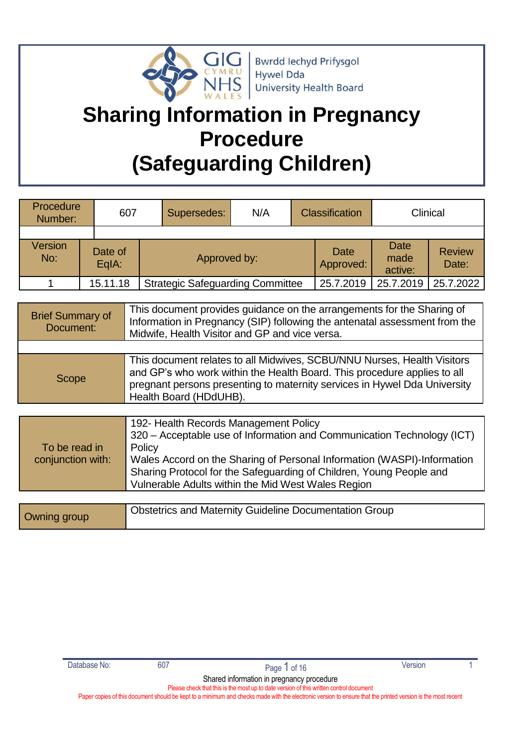

# **Sharing Information in Pregnancy Procedure (Safeguarding Children)**

| Procedure<br>Number:    |                  | 607 |  | Supersedes:                                                                                                                                           | N/A |                          | <b>Classification</b>          |                        | Clinical |
|-------------------------|------------------|-----|--|-------------------------------------------------------------------------------------------------------------------------------------------------------|-----|--------------------------|--------------------------------|------------------------|----------|
|                         |                  |     |  |                                                                                                                                                       |     |                          |                                |                        |          |
| <b>Version</b><br>No:   | Date of<br>EqIA: |     |  | Approved by:                                                                                                                                          |     | <b>Date</b><br>Approved: | <b>Date</b><br>made<br>active: | <b>Review</b><br>Date: |          |
|                         | 15.11.18         |     |  | <b>Strategic Safeguarding Committee</b>                                                                                                               |     | 25.7.2019                | 25.7.2019                      | 25.7.2022              |          |
|                         |                  |     |  |                                                                                                                                                       |     |                          |                                |                        |          |
| <b>Brief Summary of</b> |                  |     |  | This document provides guidance on the arrangements for the Sharing of<br>Information in Dragpanov (CID) following the optenatel accessoment from the |     |                          |                                |                        |          |

| <b>DIN VAILINALY VI</b><br>Document: | Information in Pregnancy (SIP) following the antenatal assessment from the<br>Midwife, Health Visitor and GP and vice versa.                                                                                                                               |
|--------------------------------------|------------------------------------------------------------------------------------------------------------------------------------------------------------------------------------------------------------------------------------------------------------|
|                                      |                                                                                                                                                                                                                                                            |
| Scope                                | This document relates to all Midwives, SCBU/NNU Nurses, Health Visitors<br>and GP's who work within the Health Board. This procedure applies to all<br>pregnant persons presenting to maternity services in Hywel Dda University<br>Health Board (HDdUHB). |

| To be read in<br>conjunction with: | 192- Health Records Management Policy<br>320 - Acceptable use of Information and Communication Technology (ICT)<br>Policy<br>Wales Accord on the Sharing of Personal Information (WASPI)-Information<br>Sharing Protocol for the Safeguarding of Children, Young People and<br>Vulnerable Adults within the Mid West Wales Region |
|------------------------------------|-----------------------------------------------------------------------------------------------------------------------------------------------------------------------------------------------------------------------------------------------------------------------------------------------------------------------------------|
|                                    |                                                                                                                                                                                                                                                                                                                                   |

| Owning group | <sup>1</sup> Obstetrics and Maternity Guideline Documentation Group |
|--------------|---------------------------------------------------------------------|
|--------------|---------------------------------------------------------------------|

Shared information in pregnancy procedure Please check that this is the most up to date version of this written control document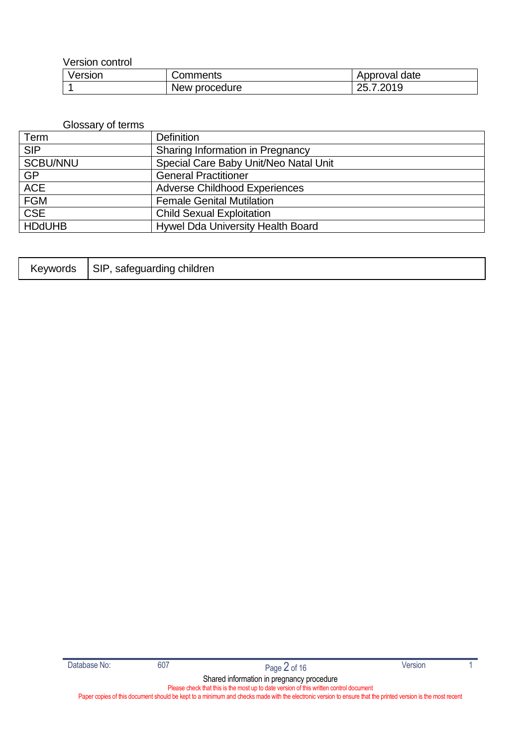Version control

| Version | Comments      | Approval date     |
|---------|---------------|-------------------|
|         | New procedure | ാറ10<br>つに<br>LJ. |

#### Glossary of terms

| Term            | <b>Definition</b>                     |
|-----------------|---------------------------------------|
| <b>SIP</b>      | Sharing Information in Pregnancy      |
| <b>SCBU/NNU</b> | Special Care Baby Unit/Neo Natal Unit |
| <b>GP</b>       | <b>General Practitioner</b>           |
| <b>ACE</b>      | <b>Adverse Childhood Experiences</b>  |
| <b>FGM</b>      | <b>Female Genital Mutilation</b>      |
| <b>CSE</b>      | <b>Child Sexual Exploitation</b>      |
| <b>HDdUHB</b>   | Hywel Dda University Health Board     |

| <b>Keywords</b> | <b>SIP</b><br>safeguarding children |
|-----------------|-------------------------------------|
|-----------------|-------------------------------------|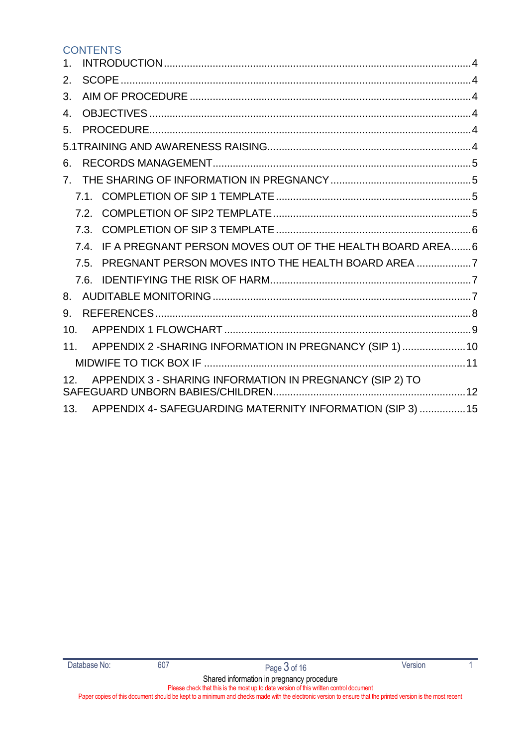#### **CONTENTS**

| $\mathbf 1$ .                                                               |  |
|-----------------------------------------------------------------------------|--|
| 2.                                                                          |  |
| 3.                                                                          |  |
| $\mathbf{4}$                                                                |  |
| 5.                                                                          |  |
|                                                                             |  |
| 6.                                                                          |  |
| 7 <sup>1</sup>                                                              |  |
| 7.1.                                                                        |  |
| 7.2.                                                                        |  |
| 7.3.                                                                        |  |
| IF A PREGNANT PERSON MOVES OUT OF THE HEALTH BOARD AREA6<br>7.4.            |  |
| PREGNANT PERSON MOVES INTO THE HEALTH BOARD AREA<br>75                      |  |
| 7.6.                                                                        |  |
| 8.                                                                          |  |
| 9.                                                                          |  |
| 10.                                                                         |  |
| APPENDIX 2 - SHARING INFORMATION IN PREGNANCY (SIP 1) 10<br>11 <sub>1</sub> |  |
|                                                                             |  |
| APPENDIX 3 - SHARING INFORMATION IN PREGNANCY (SIP 2) TO<br>12.             |  |
| APPENDIX 4- SAFEGUARDING MATERNITY INFORMATION (SIP 3)  15<br>13.           |  |

Shared information in pregnancy procedure Please check that this is the most up to date version of this written control document Paper copies of this document should be kept to a minimum and checks made with the electronic version to ensure that the printed version is the most recent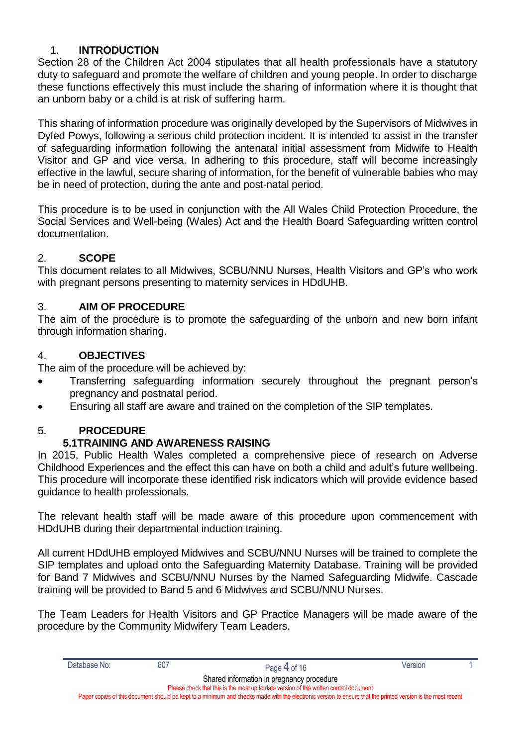#### <span id="page-3-0"></span>1. **INTRODUCTION**

Section 28 of the Children Act 2004 stipulates that all health professionals have a statutory duty to safeguard and promote the welfare of children and young people. In order to discharge these functions effectively this must include the sharing of information where it is thought that an unborn baby or a child is at risk of suffering harm.

This sharing of information procedure was originally developed by the Supervisors of Midwives in Dyfed Powys, following a serious child protection incident. It is intended to assist in the transfer of safeguarding information following the antenatal initial assessment from Midwife to Health Visitor and GP and vice versa. In adhering to this procedure, staff will become increasingly effective in the lawful, secure sharing of information, for the benefit of vulnerable babies who may be in need of protection, during the ante and post-natal period.

This procedure is to be used in conjunction with the All Wales Child Protection Procedure, the Social Services and Well-being (Wales) Act and the Health Board Safeguarding written control documentation.

#### <span id="page-3-1"></span>2. **SCOPE**

This document relates to all Midwives, SCBU/NNU Nurses, Health Visitors and GP's who work with pregnant persons presenting to maternity services in HDdUHB.

#### <span id="page-3-2"></span>3. **AIM OF PROCEDURE**

The aim of the procedure is to promote the safeguarding of the unborn and new born infant through information sharing.

#### <span id="page-3-3"></span>4. **OBJECTIVES**

The aim of the procedure will be achieved by:

- Transferring safeguarding information securely throughout the pregnant person's pregnancy and postnatal period.
- Ensuring all staff are aware and trained on the completion of the SIP templates.

#### 5. **PROCEDURE**

#### <span id="page-3-5"></span><span id="page-3-4"></span>**5.1TRAINING AND AWARENESS RAISING**

In 2015, Public Health Wales completed a comprehensive piece of research on Adverse Childhood Experiences and the effect this can have on both a child and adult's future wellbeing. This procedure will incorporate these identified risk indicators which will provide evidence based guidance to health professionals.

The relevant health staff will be made aware of this procedure upon commencement with HDdUHB during their departmental induction training.

All current HDdUHB employed Midwives and SCBU/NNU Nurses will be trained to complete the SIP templates and upload onto the Safeguarding Maternity Database. Training will be provided for Band 7 Midwives and SCBU/NNU Nurses by the Named Safeguarding Midwife. Cascade training will be provided to Band 5 and 6 Midwives and SCBU/NNU Nurses.

The Team Leaders for Health Visitors and GP Practice Managers will be made aware of the procedure by the Community Midwifery Team Leaders.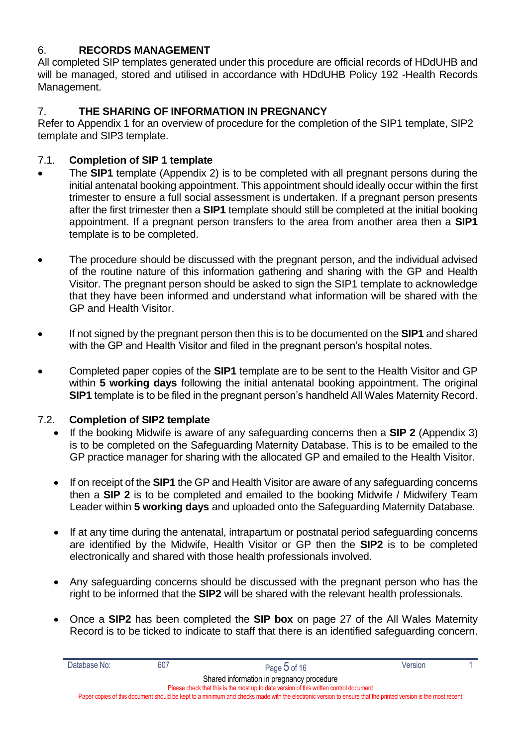#### <span id="page-4-0"></span>6. **RECORDS MANAGEMENT**

All completed SIP templates generated under this procedure are official records of HDdUHB and will be managed, stored and utilised in accordance with HDdUHB Policy 192 -Health Records Management.

#### <span id="page-4-1"></span>7. **THE SHARING OF INFORMATION IN PREGNANCY**

Refer to Appendix 1 for an overview of procedure for the completion of the SIP1 template, SIP2 template and SIP3 template.

#### <span id="page-4-2"></span>7.1. **Completion of SIP 1 template**

- The **SIP1** template (Appendix 2) is to be completed with all pregnant persons during the initial antenatal booking appointment. This appointment should ideally occur within the first trimester to ensure a full social assessment is undertaken. If a pregnant person presents after the first trimester then a **SIP1** template should still be completed at the initial booking appointment. If a pregnant person transfers to the area from another area then a **SIP1** template is to be completed.
- The procedure should be discussed with the pregnant person, and the individual advised of the routine nature of this information gathering and sharing with the GP and Health Visitor. The pregnant person should be asked to sign the SIP1 template to acknowledge that they have been informed and understand what information will be shared with the GP and Health Visitor.
- If not signed by the pregnant person then this is to be documented on the **SIP1** and shared with the GP and Health Visitor and filed in the pregnant person's hospital notes.
- Completed paper copies of the **SIP1** template are to be sent to the Health Visitor and GP within **5 working days** following the initial antenatal booking appointment. The original **SIP1** template is to be filed in the pregnant person's handheld All Wales Maternity Record.

#### 7.2. **Completion of SIP2 template**

- <span id="page-4-3"></span> If the booking Midwife is aware of any safeguarding concerns then a **SIP 2** (Appendix 3) is to be completed on the Safeguarding Maternity Database. This is to be emailed to the GP practice manager for sharing with the allocated GP and emailed to the Health Visitor.
- If on receipt of the **SIP1** the GP and Health Visitor are aware of any safeguarding concerns then a **SIP 2** is to be completed and emailed to the booking Midwife / Midwifery Team Leader within **5 working days** and uploaded onto the Safeguarding Maternity Database.
- If at any time during the antenatal, intrapartum or postnatal period safeguarding concerns are identified by the Midwife, Health Visitor or GP then the **SIP2** is to be completed electronically and shared with those health professionals involved.
- Any safeguarding concerns should be discussed with the pregnant person who has the right to be informed that the **SIP2** will be shared with the relevant health professionals.
- Once a **SIP2** has been completed the **SIP box** on page 27 of the All Wales Maternity Record is to be ticked to indicate to staff that there is an identified safeguarding concern.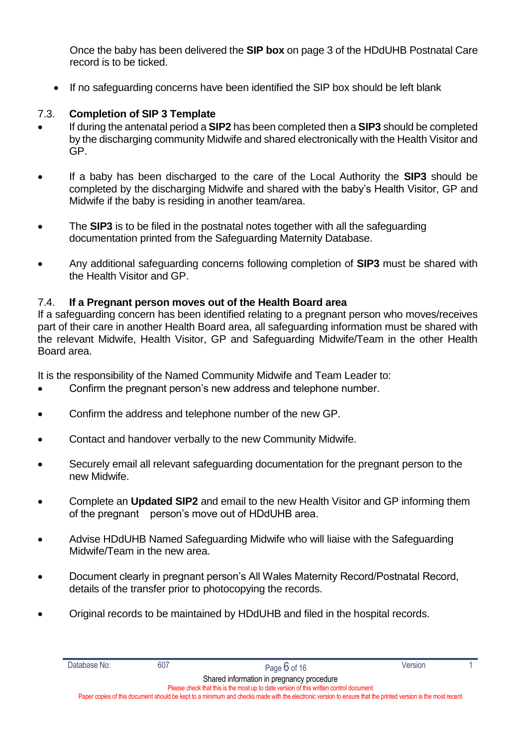Once the baby has been delivered the **SIP box** on page 3 of the HDdUHB Postnatal Care record is to be ticked.

If no safeguarding concerns have been identified the SIP box should be left blank

#### <span id="page-5-0"></span>7.3. **Completion of SIP 3 Template**

- If during the antenatal period a **SIP2** has been completed then a **SIP3** should be completed by the discharging community Midwife and shared electronically with the Health Visitor and GP.
- If a baby has been discharged to the care of the Local Authority the **SIP3** should be completed by the discharging Midwife and shared with the baby's Health Visitor, GP and Midwife if the baby is residing in another team/area.
- The **SIP3** is to be filed in the postnatal notes together with all the safeguarding documentation printed from the Safeguarding Maternity Database.
- Any additional safeguarding concerns following completion of **SIP3** must be shared with the Health Visitor and GP.

#### <span id="page-5-1"></span>7.4. **If a Pregnant person moves out of the Health Board area**

If a safeguarding concern has been identified relating to a pregnant person who moves/receives part of their care in another Health Board area, all safeguarding information must be shared with the relevant Midwife, Health Visitor, GP and Safeguarding Midwife/Team in the other Health Board area.

It is the responsibility of the Named Community Midwife and Team Leader to:

- Confirm the pregnant person's new address and telephone number.
- Confirm the address and telephone number of the new GP.
- Contact and handover verbally to the new Community Midwife.
- Securely email all relevant safeguarding documentation for the pregnant person to the new Midwife.
- Complete an **Updated SIP2** and email to the new Health Visitor and GP informing them of the pregnant person's move out of HDdUHB area.
- Advise HDdUHB Named Safeguarding Midwife who will liaise with the Safeguarding Midwife/Team in the new area.
- Document clearly in pregnant person's All Wales Maternity Record/Postnatal Record, details of the transfer prior to photocopying the records.
- Original records to be maintained by HDdUHB and filed in the hospital records.

Shared information in pregnancy procedure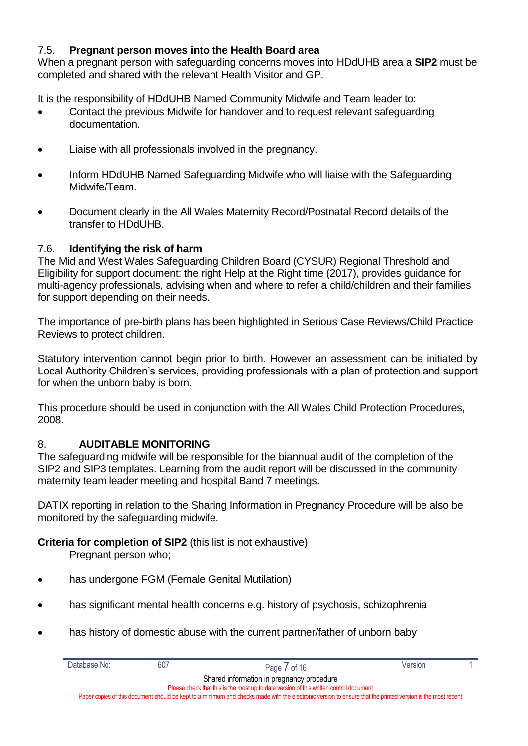#### <span id="page-6-0"></span>7.5. **Pregnant person moves into the Health Board area**

When a pregnant person with safeguarding concerns moves into HDdUHB area a **SIP2** must be completed and shared with the relevant Health Visitor and GP.

It is the responsibility of HDdUHB Named Community Midwife and Team leader to:

- Contact the previous Midwife for handover and to request relevant safeguarding documentation.
- Liaise with all professionals involved in the pregnancy.
- Inform HDdUHB Named Safeguarding Midwife who will liaise with the Safeguarding Midwife/Team.
- Document clearly in the All Wales Maternity Record/Postnatal Record details of the transfer to HDdUHB.

#### <span id="page-6-1"></span>7.6. **Identifying the risk of harm**

The Mid and West Wales Safeguarding Children Board (CYSUR) Regional Threshold and Eligibility for support document: the right Help at the Right time (2017), provides guidance for multi-agency professionals, advising when and where to refer a child/children and their families for support depending on their needs.

The importance of pre-birth plans has been highlighted in Serious Case Reviews/Child Practice Reviews to protect children.

Statutory intervention cannot begin prior to birth. However an assessment can be initiated by Local Authority Children's services, providing professionals with a plan of protection and support for when the unborn baby is born.

This procedure should be used in conjunction with the All Wales Child Protection Procedures, 2008.

#### <span id="page-6-2"></span>8. **AUDITABLE MONITORING**

The safeguarding midwife will be responsible for the biannual audit of the completion of the SIP2 and SIP3 templates. Learning from the audit report will be discussed in the community maternity team leader meeting and hospital Band 7 meetings.

DATIX reporting in relation to the Sharing Information in Pregnancy Procedure will be also be monitored by the safeguarding midwife.

#### **Criteria for completion of SIP2** (this list is not exhaustive)

Pregnant person who;

- has undergone FGM (Female Genital Mutilation)
- has significant mental health concerns e.g. history of psychosis, schizophrenia
- has history of domestic abuse with the current partner/father of unborn baby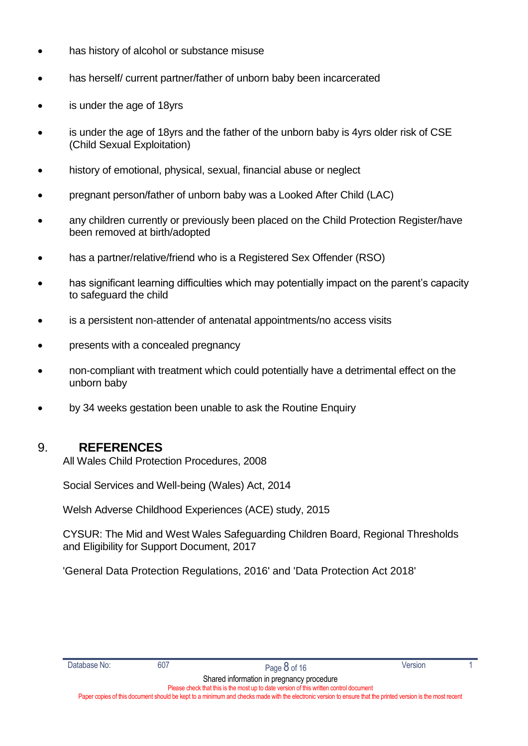- has history of alcohol or substance misuse
- has herself/ current partner/father of unborn baby been incarcerated
- is under the age of 18yrs
- is under the age of 18yrs and the father of the unborn baby is 4yrs older risk of CSE (Child Sexual Exploitation)
- history of emotional, physical, sexual, financial abuse or neglect
- pregnant person/father of unborn baby was a Looked After Child (LAC)
- any children currently or previously been placed on the Child Protection Register/have been removed at birth/adopted
- has a partner/relative/friend who is a Registered Sex Offender (RSO)
- has significant learning difficulties which may potentially impact on the parent's capacity to safeguard the child
- is a persistent non-attender of antenatal appointments/no access visits
- presents with a concealed pregnancy
- non-compliant with treatment which could potentially have a detrimental effect on the unborn baby
- by 34 weeks gestation been unable to ask the Routine Enquiry

#### 9. **REFERENCES**

<span id="page-7-0"></span>All Wales Child Protection Procedures, 2008

Social Services and Well-being (Wales) Act, 2014

Welsh Adverse Childhood Experiences (ACE) study, 2015

CYSUR: The Mid and West Wales Safeguarding Children Board, Regional Thresholds and Eligibility for Support Document, 2017

'General Data Protection Regulations, 2016' and 'Data Protection Act 2018'

| Database No: |  |
|--------------|--|
|              |  |

Shared information in pregnancy procedure Please check that this is the most up to date version of this written control document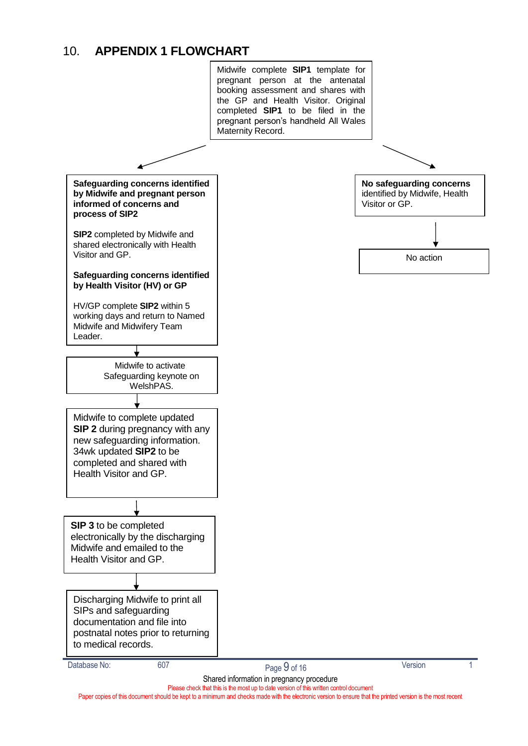#### <span id="page-8-0"></span>10. **APPENDIX 1 FLOWCHART**

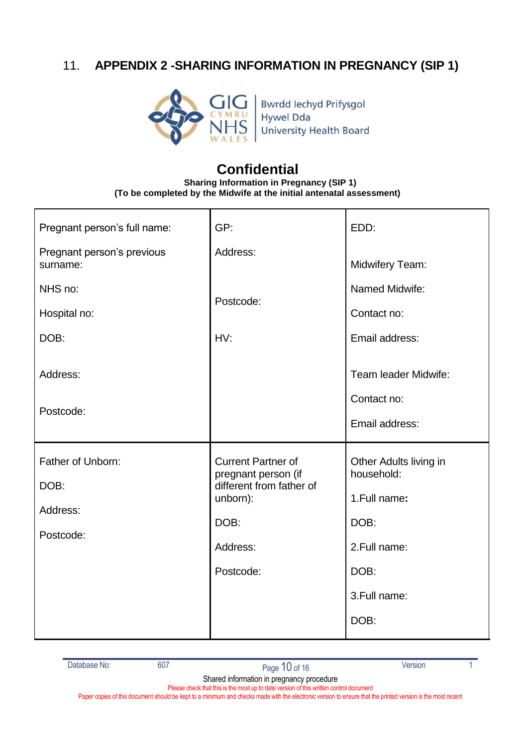### <span id="page-9-0"></span>11. **APPENDIX 2 -SHARING INFORMATION IN PREGNANCY (SIP 1)**



Bwrdd Iechyd Prifysgol<br>Hywel Dda<br>University Health Board

## **Confidential**

**Sharing Information in Pregnancy (SIP 1) (To be completed by the Midwife at the initial antenatal assessment)**

| Pregnant person's full name:           | GP:                                              | EDD:                                                  |  |
|----------------------------------------|--------------------------------------------------|-------------------------------------------------------|--|
| Pregnant person's previous<br>surname: | Address:                                         | <b>Midwifery Team:</b>                                |  |
| NHS no:                                | Postcode:                                        | Named Midwife:                                        |  |
| Hospital no:                           |                                                  | Contact no:                                           |  |
| DOB:                                   | HV:                                              | Email address:                                        |  |
| Address:<br>Postcode:                  |                                                  | Team leader Midwife:<br>Contact no:<br>Email address: |  |
| Father of Unborn:                      | <b>Current Partner of</b><br>pregnant person (if | Other Adults living in<br>household:                  |  |
| DOB:                                   | different from father of<br>unborn):             | 1. Full name:                                         |  |
| Address:                               | DOB:                                             | DOB:                                                  |  |
| Postcode:                              | Address:                                         | 2. Full name:                                         |  |
|                                        | Postcode:                                        | DOB:                                                  |  |
|                                        |                                                  | 3. Full name:                                         |  |
|                                        |                                                  | DOB:                                                  |  |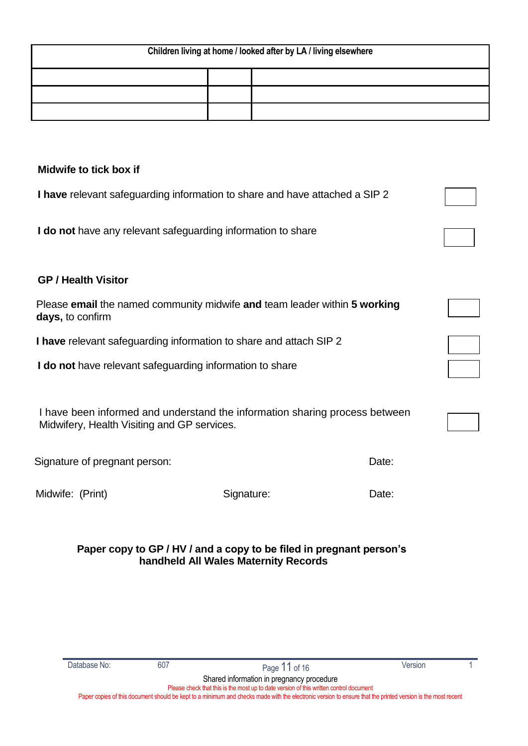| Children living at home / looked after by LA / living elsewhere |  |  |  |  |  |  |
|-----------------------------------------------------------------|--|--|--|--|--|--|
|                                                                 |  |  |  |  |  |  |
|                                                                 |  |  |  |  |  |  |
|                                                                 |  |  |  |  |  |  |

#### <span id="page-10-0"></span>**Midwife to tick box if**

**I have** relevant safeguarding information to share and have attached a SIP 2

**I do not** have any relevant safeguarding information to share

#### **GP / Health Visitor**

| Please email the named community midwife and team leader within 5 working |  |  |
|---------------------------------------------------------------------------|--|--|
| <b>days,</b> to confirm                                                   |  |  |

**I have** relevant safeguarding information to share and attach SIP 2

**I do not** have relevant safeguarding information to share

I have been informed and understand the information sharing process between Midwifery, Health Visiting and GP services.

Signature of pregnant person: Date: Date:

Midwife: (Print) Signature: Signature: Date:

#### **Paper copy to GP / HV / and a copy to be filed in pregnant person's handheld All Wales Maternity Records**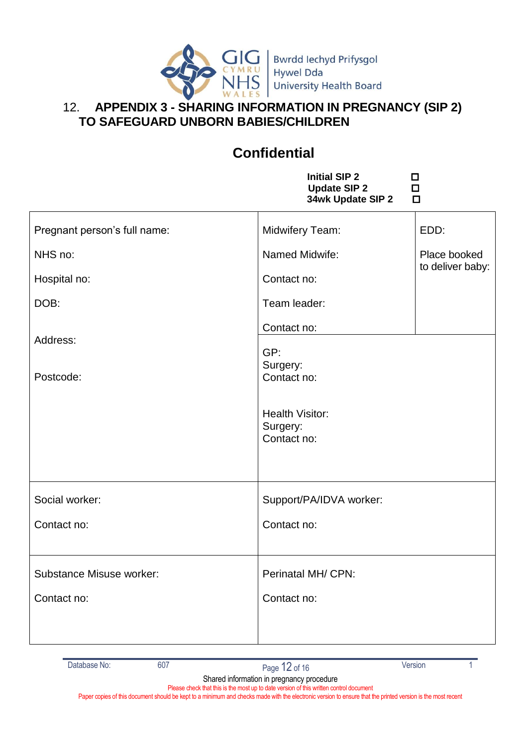

Bwrdd Iechyd Prifysgol Hywel Dda University Health Board

### <span id="page-11-0"></span>12. **APPENDIX 3 - SHARING INFORMATION IN PREGNANCY (SIP 2) TO SAFEGUARD UNBORN BABIES/CHILDREN**

# **Confidential**

**Initial SIP 2 D**<br> **Digidate SIP 2** D **Update SIP 2 34wk Update SIP 2** 

| Pregnant person's full name:    | Midwifery Team:                                   | EDD:             |  |
|---------------------------------|---------------------------------------------------|------------------|--|
| NHS no:                         | Named Midwife:                                    | Place booked     |  |
| Hospital no:                    | Contact no:                                       | to deliver baby: |  |
| DOB:                            | Team leader:                                      |                  |  |
|                                 | Contact no:                                       |                  |  |
| Address:<br>Postcode:           | GP:<br>Surgery:<br>Contact no:                    |                  |  |
|                                 | <b>Health Visitor:</b><br>Surgery:<br>Contact no: |                  |  |
| Social worker:                  | Support/PA/IDVA worker:                           |                  |  |
| Contact no:                     | Contact no:                                       |                  |  |
| <b>Substance Misuse worker:</b> | Perinatal MH/ CPN:                                |                  |  |
| Contact no:                     | Contact no:                                       |                  |  |
|                                 |                                                   |                  |  |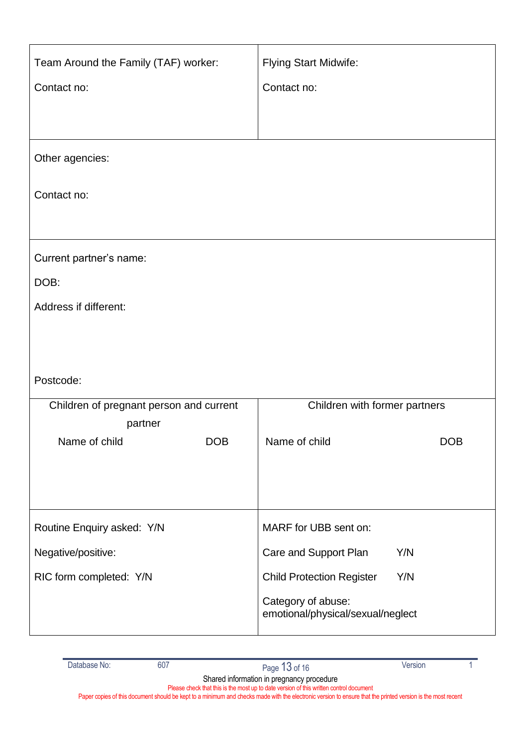| Team Around the Family (TAF) worker:    | <b>Flying Start Midwife:</b>                            |  |
|-----------------------------------------|---------------------------------------------------------|--|
| Contact no:                             | Contact no:                                             |  |
|                                         |                                                         |  |
|                                         |                                                         |  |
| Other agencies:                         |                                                         |  |
| Contact no:                             |                                                         |  |
|                                         |                                                         |  |
| Current partner's name:                 |                                                         |  |
| DOB:                                    |                                                         |  |
| Address if different:                   |                                                         |  |
|                                         |                                                         |  |
|                                         |                                                         |  |
| Postcode:                               |                                                         |  |
| Children of pregnant person and current | Children with former partners                           |  |
| partner                                 |                                                         |  |
| Name of child<br><b>DOB</b>             | Name of child<br><b>DOB</b>                             |  |
|                                         |                                                         |  |
|                                         |                                                         |  |
| Routine Enquiry asked: Y/N              | MARF for UBB sent on:                                   |  |
| Negative/positive:                      | Care and Support Plan<br>Y/N                            |  |
| RIC form completed: Y/N                 | <b>Child Protection Register</b><br>Y/N                 |  |
|                                         | Category of abuse:<br>emotional/physical/sexual/neglect |  |
|                                         |                                                         |  |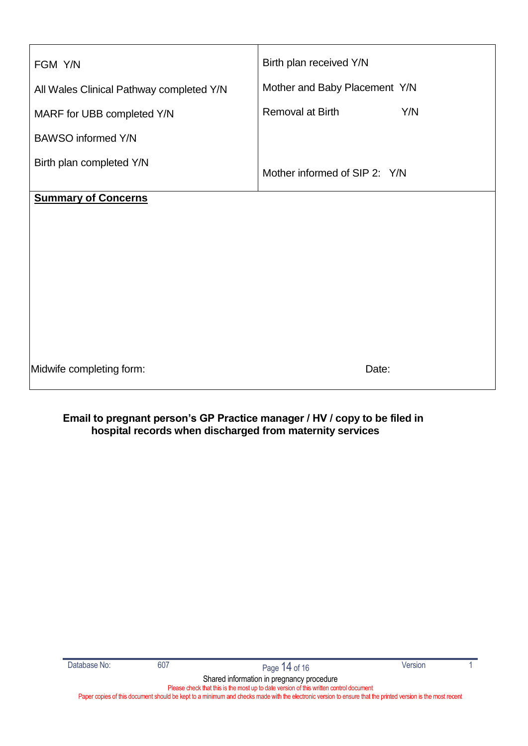| FGM Y/N                                  | Birth plan received Y/N       |  |
|------------------------------------------|-------------------------------|--|
| All Wales Clinical Pathway completed Y/N | Mother and Baby Placement Y/N |  |
| MARF for UBB completed Y/N               | Removal at Birth<br>Y/N       |  |
| <b>BAWSO</b> informed Y/N                |                               |  |
| Birth plan completed Y/N                 | Mother informed of SIP 2: Y/N |  |
| <b>Summary of Concerns</b>               |                               |  |
|                                          |                               |  |
|                                          |                               |  |
|                                          |                               |  |
|                                          |                               |  |
|                                          |                               |  |
|                                          |                               |  |
| Midwife completing form:                 | Date:                         |  |

#### **Email to pregnant person's GP Practice manager / HV / copy to be filed in hospital records when discharged from maternity services**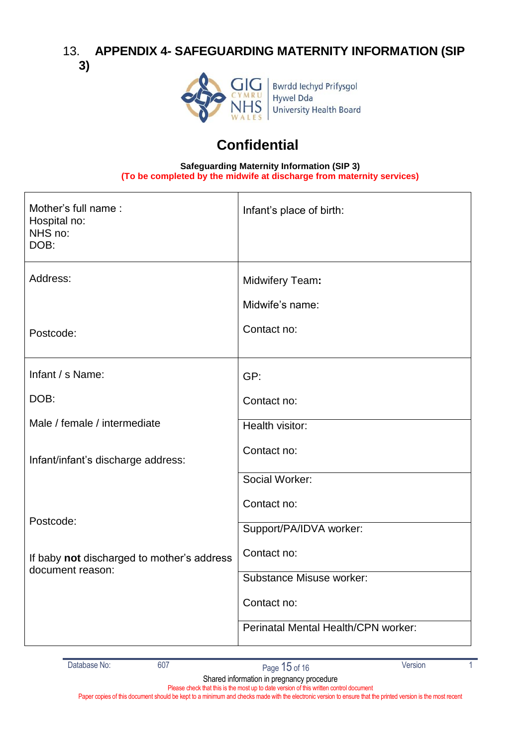#### <span id="page-14-0"></span>13. **APPENDIX 4- SAFEGUARDING MATERNITY INFORMATION (SIP 3)**



## **Confidential**

**Safeguarding Maternity Information (SIP 3) (To be completed by the midwife at discharge from maternity services)**

| Mother's full name:<br>Hospital no:<br>NHS no:<br>DOB: | Infant's place of birth:            |
|--------------------------------------------------------|-------------------------------------|
| Address:                                               | Midwifery Team:<br>Midwife's name:  |
| Postcode:                                              | Contact no:                         |
| Infant / s Name:                                       | GP:                                 |
| DOB:                                                   | Contact no:                         |
| Male / female / intermediate                           | Health visitor:                     |
| Infant/infant's discharge address:                     | Contact no:                         |
|                                                        | Social Worker:                      |
|                                                        | Contact no:                         |
| Postcode:                                              | Support/PA/IDVA worker:             |
| If baby not discharged to mother's address             | Contact no:                         |
| document reason:                                       | <b>Substance Misuse worker:</b>     |
|                                                        | Contact no:                         |
|                                                        | Perinatal Mental Health/CPN worker: |
|                                                        |                                     |